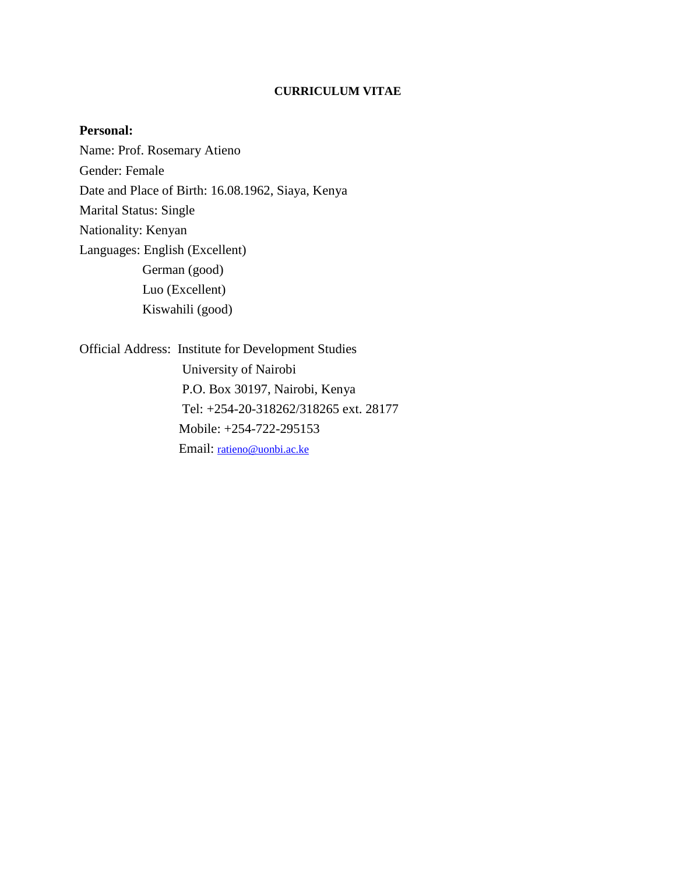#### **CURRICULUM VITAE**

#### **Personal:**

Name: Prof. Rosemary Atieno Gender: Female Date and Place of Birth: 16.08.1962, Siaya, Kenya Marital Status: Single Nationality: Kenyan Languages: English (Excellent) German (good) Luo (Excellent) Kiswahili (good)

Official Address: Institute for Development Studies University of Nairobi P.O. Box 30197, Nairobi, Kenya Tel: +254-20-318262/318265 ext. 28177 Mobile: +254-722-295153 Email: ratieno@uonbi.ac.ke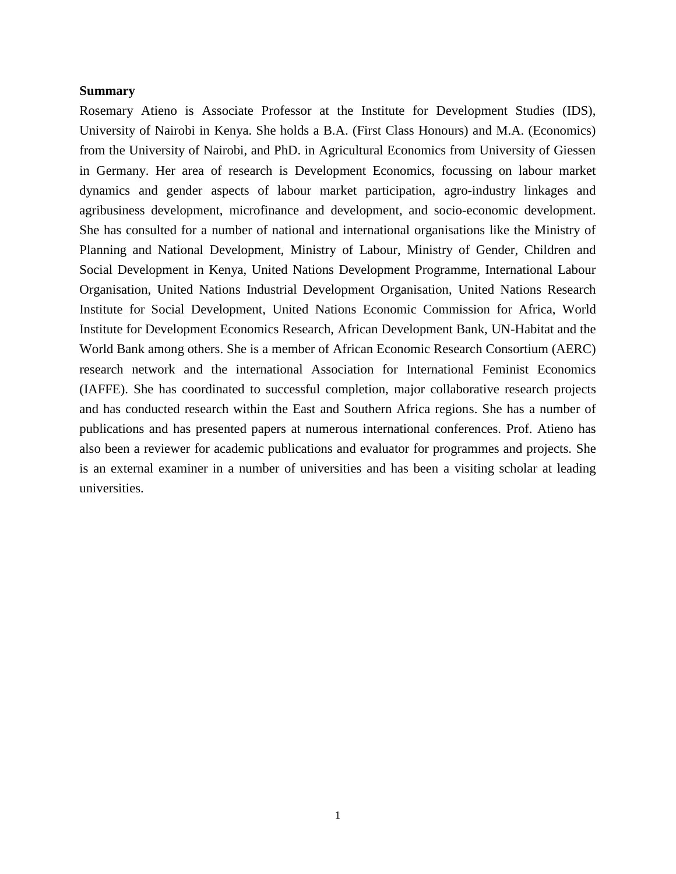#### **Summary**

Rosemary Atieno is Associate Professor at the Institute for Development Studies (IDS), University of Nairobi in Kenya. She holds a B.A. (First Class Honours) and M.A. (Economics) from the University of Nairobi, and PhD. in Agricultural Economics from University of Giessen in Germany. Her area of research is Development Economics, focussing on labour market dynamics and gender aspects of labour market participation, agro-industry linkages and agribusiness development, microfinance and development, and socio-economic development. She has consulted for a number of national and international organisations like the Ministry of Planning and National Development, Ministry of Labour, Ministry of Gender, Children and Social Development in Kenya, United Nations Development Programme, International Labour Organisation, United Nations Industrial Development Organisation, United Nations Research Institute for Social Development, United Nations Economic Commission for Africa, World Institute for Development Economics Research, African Development Bank, UN-Habitat and the World Bank among others. She is a member of African Economic Research Consortium (AERC) research network and the international Association for International Feminist Economics (IAFFE). She has coordinated to successful completion, major collaborative research projects and has conducted research within the East and Southern Africa regions. She has a number of publications and has presented papers at numerous international conferences. Prof. Atieno has also been a reviewer for academic publications and evaluator for programmes and projects. She is an external examiner in a number of universities and has been a visiting scholar at leading universities.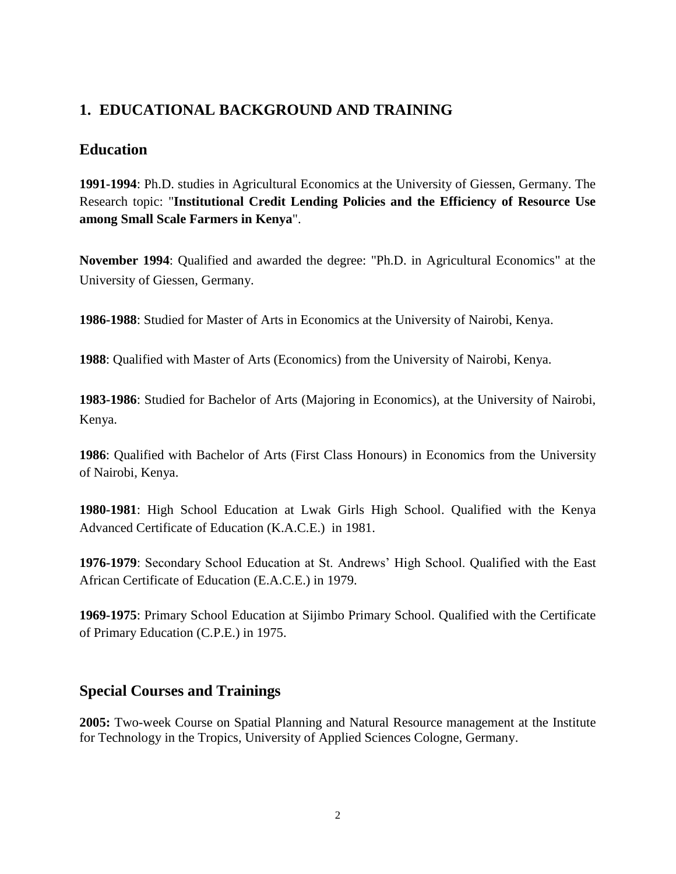# **1. EDUCATIONAL BACKGROUND AND TRAINING**

## **Education**

**1991-1994**: Ph.D. studies in Agricultural Economics at the University of Giessen, Germany. The Research topic: "**Institutional Credit Lending Policies and the Efficiency of Resource Use among Small Scale Farmers in Kenya**".

**November 1994**: Qualified and awarded the degree: "Ph.D. in Agricultural Economics" at the University of Giessen, Germany.

**1986-1988**: Studied for Master of Arts in Economics at the University of Nairobi, Kenya.

**1988**: Qualified with Master of Arts (Economics) from the University of Nairobi, Kenya.

**1983-1986**: Studied for Bachelor of Arts (Majoring in Economics), at the University of Nairobi, Kenya.

**1986**: Qualified with Bachelor of Arts (First Class Honours) in Economics from the University of Nairobi, Kenya.

**1980-1981**: High School Education at Lwak Girls High School. Qualified with the Kenya Advanced Certificate of Education (K.A.C.E.) in 1981.

**1976-1979**: Secondary School Education at St. Andrews' High School. Qualified with the East African Certificate of Education (E.A.C.E.) in 1979.

**1969-1975**: Primary School Education at Sijimbo Primary School. Qualified with the Certificate of Primary Education (C.P.E.) in 1975.

## **Special Courses and Trainings**

**2005:** Two-week Course on Spatial Planning and Natural Resource management at the Institute for Technology in the Tropics, University of Applied Sciences Cologne, Germany.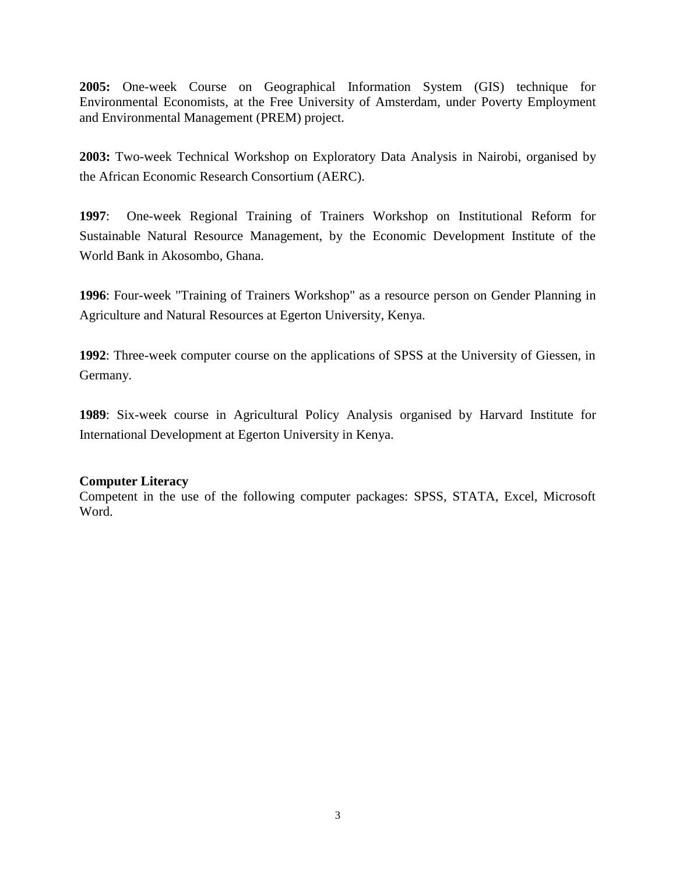**2005:** One-week Course on Geographical Information System (GIS) technique for Environmental Economists, at the Free University of Amsterdam, under Poverty Employment and Environmental Management (PREM) project.

**2003:** Two-week Technical Workshop on Exploratory Data Analysis in Nairobi, organised by the African Economic Research Consortium (AERC).

**1997**: One-week Regional Training of Trainers Workshop on Institutional Reform for Sustainable Natural Resource Management, by the Economic Development Institute of the World Bank in Akosombo, Ghana.

**1996**: Four-week "Training of Trainers Workshop" as a resource person on Gender Planning in Agriculture and Natural Resources at Egerton University, Kenya.

**1992**: Three-week computer course on the applications of SPSS at the University of Giessen, in Germany.

**1989**: Six-week course in Agricultural Policy Analysis organised by Harvard Institute for International Development at Egerton University in Kenya.

#### **Computer Literacy**

Competent in the use of the following computer packages: SPSS, STATA, Excel, Microsoft Word.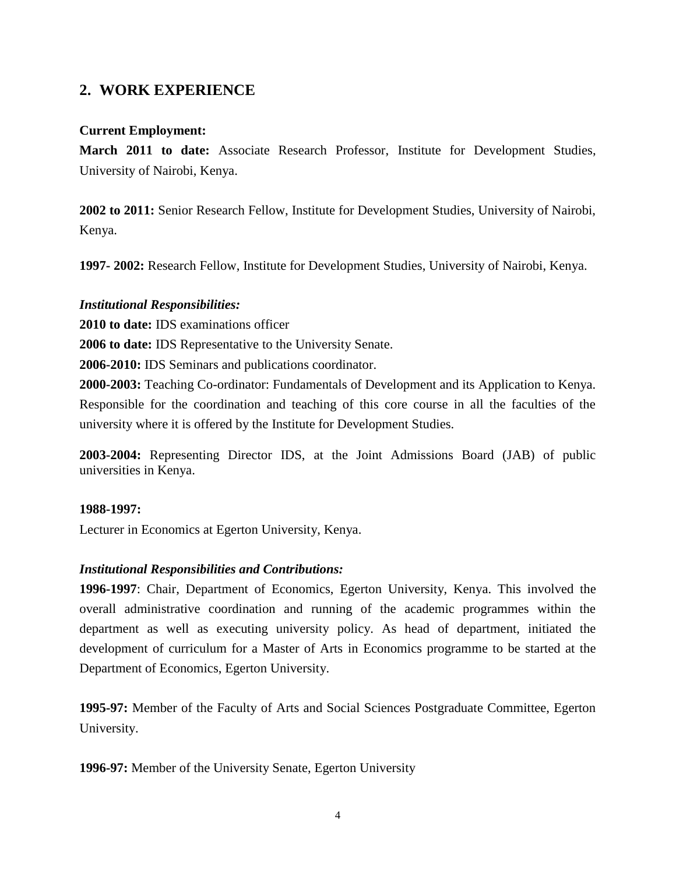# **2. WORK EXPERIENCE**

### **Current Employment:**

**March 2011 to date:** Associate Research Professor, Institute for Development Studies, University of Nairobi, Kenya.

**2002 to 2011:** Senior Research Fellow, Institute for Development Studies, University of Nairobi, Kenya.

**1997- 2002:** Research Fellow, Institute for Development Studies, University of Nairobi, Kenya.

### *Institutional Responsibilities:*

**2010 to date:** IDS examinations officer

**2006 to date:** IDS Representative to the University Senate.

**2006-2010:** IDS Seminars and publications coordinator.

**2000-2003:** Teaching Co-ordinator: Fundamentals of Development and its Application to Kenya. Responsible for the coordination and teaching of this core course in all the faculties of the university where it is offered by the Institute for Development Studies.

**2003-2004:** Representing Director IDS, at the Joint Admissions Board (JAB) of public universities in Kenya.

#### **1988-1997:**

Lecturer in Economics at Egerton University, Kenya.

## *Institutional Responsibilities and Contributions:*

**1996-1997**: Chair, Department of Economics, Egerton University, Kenya. This involved the overall administrative coordination and running of the academic programmes within the department as well as executing university policy. As head of department, initiated the development of curriculum for a Master of Arts in Economics programme to be started at the Department of Economics, Egerton University.

**1995-97:** Member of the Faculty of Arts and Social Sciences Postgraduate Committee, Egerton University.

**1996-97:** Member of the University Senate, Egerton University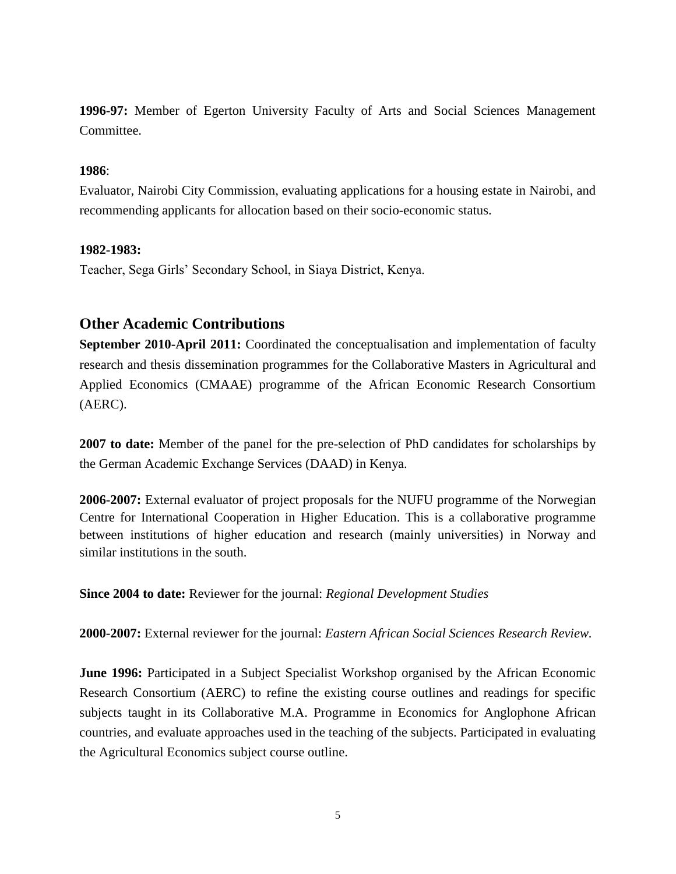**1996-97:** Member of Egerton University Faculty of Arts and Social Sciences Management Committee.

#### **1986**:

Evaluator, Nairobi City Commission, evaluating applications for a housing estate in Nairobi, and recommending applicants for allocation based on their socio-economic status.

#### **1982-1983:**

Teacher, Sega Girls' Secondary School, in Siaya District, Kenya.

## **Other Academic Contributions**

**September 2010-April 2011:** Coordinated the conceptualisation and implementation of faculty research and thesis dissemination programmes for the Collaborative Masters in Agricultural and Applied Economics (CMAAE) programme of the African Economic Research Consortium (AERC).

**2007 to date:** Member of the panel for the pre-selection of PhD candidates for scholarships by the German Academic Exchange Services (DAAD) in Kenya.

**2006-2007:** External evaluator of project proposals for the NUFU programme of the Norwegian Centre for International Cooperation in Higher Education. This is a collaborative programme between institutions of higher education and research (mainly universities) in Norway and similar institutions in the south.

**Since 2004 to date:** Reviewer for the journal: *Regional Development Studies*

**2000-2007:** External reviewer for the journal: *Eastern African Social Sciences Research Review.*

**June 1996:** Participated in a Subject Specialist Workshop organised by the African Economic Research Consortium (AERC) to refine the existing course outlines and readings for specific subjects taught in its Collaborative M.A. Programme in Economics for Anglophone African countries, and evaluate approaches used in the teaching of the subjects. Participated in evaluating the Agricultural Economics subject course outline.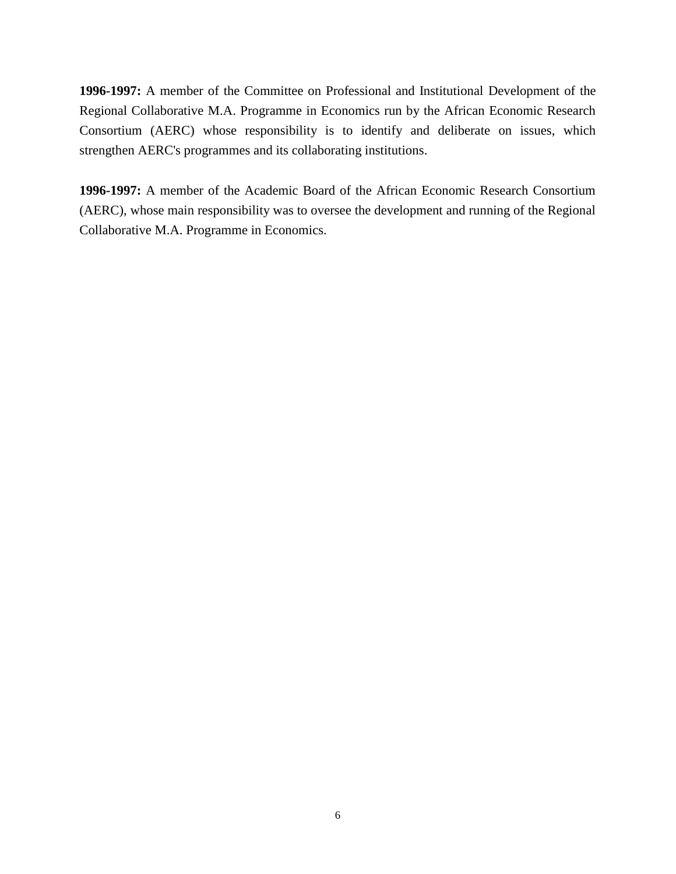**1996-1997:** A member of the Committee on Professional and Institutional Development of the Regional Collaborative M.A. Programme in Economics run by the African Economic Research Consortium (AERC) whose responsibility is to identify and deliberate on issues, which strengthen AERC's programmes and its collaborating institutions.

**1996-1997:** A member of the Academic Board of the African Economic Research Consortium (AERC), whose main responsibility was to oversee the development and running of the Regional Collaborative M.A. Programme in Economics.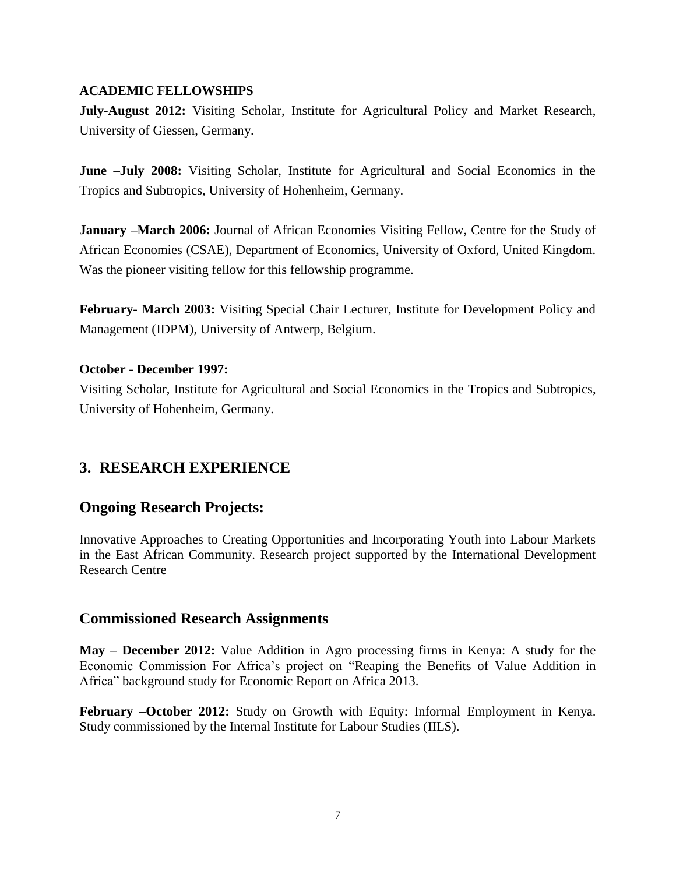### **ACADEMIC FELLOWSHIPS**

**July-August 2012:** Visiting Scholar, Institute for Agricultural Policy and Market Research, University of Giessen, Germany.

**June –July 2008:** Visiting Scholar, Institute for Agricultural and Social Economics in the Tropics and Subtropics, University of Hohenheim, Germany.

**January –March 2006:** Journal of African Economies Visiting Fellow, Centre for the Study of African Economies (CSAE), Department of Economics, University of Oxford, United Kingdom. Was the pioneer visiting fellow for this fellowship programme.

**February- March 2003:** Visiting Special Chair Lecturer, Institute for Development Policy and Management (IDPM), University of Antwerp, Belgium.

#### **October - December 1997:**

Visiting Scholar, Institute for Agricultural and Social Economics in the Tropics and Subtropics, University of Hohenheim, Germany.

## **3. RESEARCH EXPERIENCE**

## **Ongoing Research Projects:**

Innovative Approaches to Creating Opportunities and Incorporating Youth into Labour Markets in the East African Community. Research project supported by the International Development Research Centre

## **Commissioned Research Assignments**

**May – December 2012:** Value Addition in Agro processing firms in Kenya: A study for the Economic Commission For Africa's project on "Reaping the Benefits of Value Addition in Africa" background study for Economic Report on Africa 2013.

**February –October 2012:** Study on Growth with Equity: Informal Employment in Kenya. Study commissioned by the Internal Institute for Labour Studies (IILS).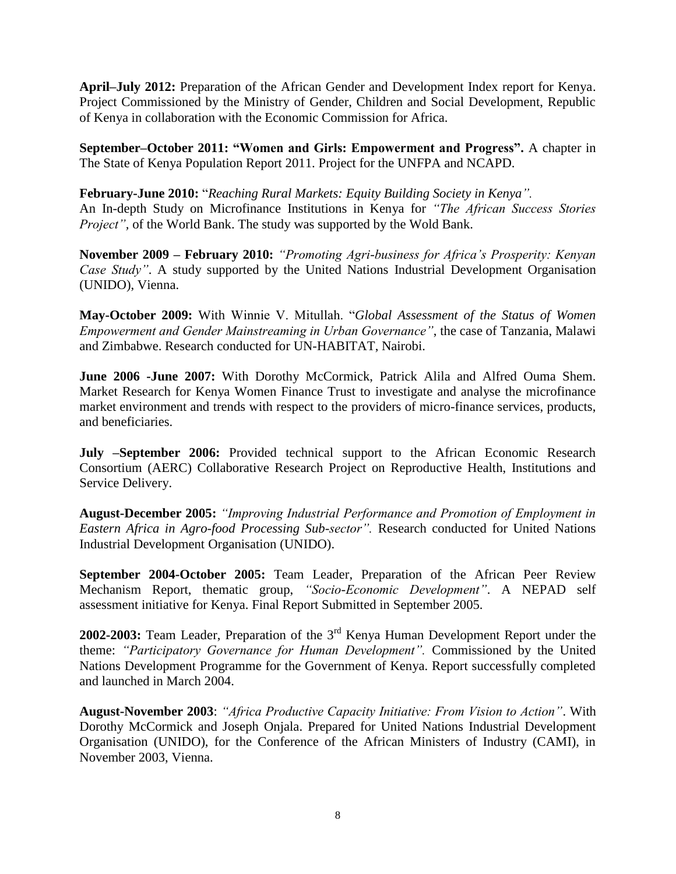**April–July 2012:** Preparation of the African Gender and Development Index report for Kenya. Project Commissioned by the Ministry of Gender, Children and Social Development, Republic of Kenya in collaboration with the Economic Commission for Africa.

**September–October 2011: "Women and Girls: Empowerment and Progress".** A chapter in The State of Kenya Population Report 2011. Project for the UNFPA and NCAPD.

**February-June 2010:** "*Reaching Rural Markets: Equity Building Society in Kenya".* An In-depth Study on Microfinance Institutions in Kenya for *"The African Success Stories Project",* of the World Bank. The study was supported by the Wold Bank.

**November 2009 – February 2010:** *"Promoting Agri-business for Africa's Prosperity: Kenyan Case Study"*. A study supported by the United Nations Industrial Development Organisation (UNIDO), Vienna.

**May-October 2009:** With Winnie V. Mitullah. "*Global Assessment of the Status of Women Empowerment and Gender Mainstreaming in Urban Governance"*, the case of Tanzania, Malawi and Zimbabwe. Research conducted for UN-HABITAT, Nairobi.

**June 2006 -June 2007:** With Dorothy McCormick, Patrick Alila and Alfred Ouma Shem. Market Research for Kenya Women Finance Trust to investigate and analyse the microfinance market environment and trends with respect to the providers of micro-finance services, products, and beneficiaries.

**July –September 2006:** Provided technical support to the African Economic Research Consortium (AERC) Collaborative Research Project on Reproductive Health, Institutions and Service Delivery.

**August-December 2005:** *"Improving Industrial Performance and Promotion of Employment in Eastern Africa in Agro-food Processing Sub-sector".* Research conducted for United Nations Industrial Development Organisation (UNIDO).

**September 2004-October 2005:** Team Leader, Preparation of the African Peer Review Mechanism Report, thematic group, *"Socio-Economic Development"*. A NEPAD self assessment initiative for Kenya. Final Report Submitted in September 2005.

**2002-2003:** Team Leader, Preparation of the 3rd Kenya Human Development Report under the theme: *"Participatory Governance for Human Development".* Commissioned by the United Nations Development Programme for the Government of Kenya. Report successfully completed and launched in March 2004.

**August-November 2003**: *"Africa Productive Capacity Initiative: From Vision to Action"*. With Dorothy McCormick and Joseph Onjala. Prepared for United Nations Industrial Development Organisation (UNIDO), for the Conference of the African Ministers of Industry (CAMI), in November 2003, Vienna.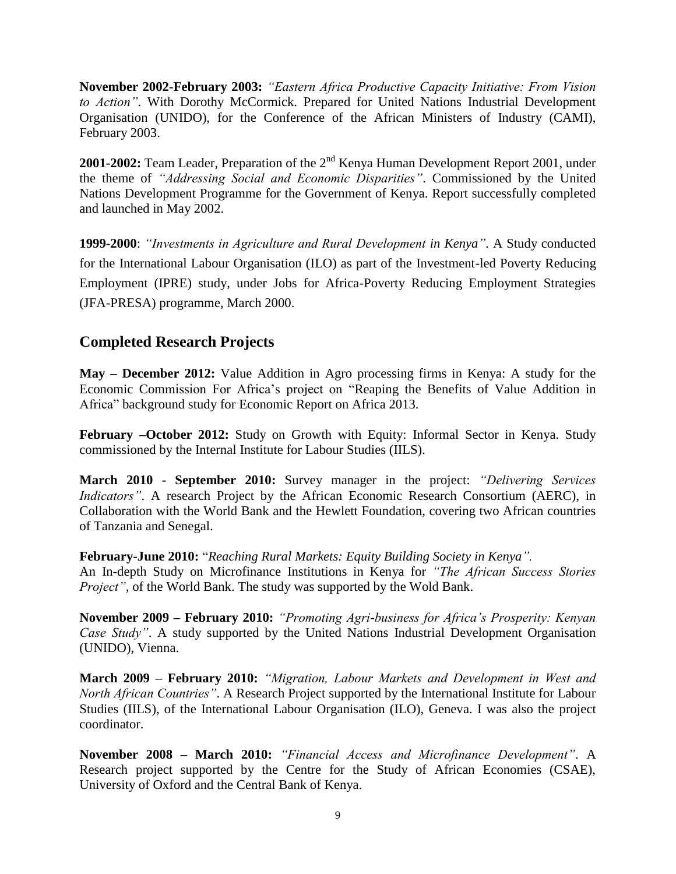**November 2002-February 2003:** *"Eastern Africa Productive Capacity Initiative: From Vision to Action"*. With Dorothy McCormick. Prepared for United Nations Industrial Development Organisation (UNIDO), for the Conference of the African Ministers of Industry (CAMI), February 2003.

**2001-2002:** Team Leader, Preparation of the 2<sup>nd</sup> Kenya Human Development Report 2001, under the theme of *"Addressing Social and Economic Disparities"*. Commissioned by the United Nations Development Programme for the Government of Kenya. Report successfully completed and launched in May 2002.

**1999-2000**: *"Investments in Agriculture and Rural Development in Kenya"*. A Study conducted for the International Labour Organisation (ILO) as part of the Investment-led Poverty Reducing Employment (IPRE) study, under Jobs for Africa-Poverty Reducing Employment Strategies (JFA-PRESA) programme, March 2000.

# **Completed Research Projects**

**May – December 2012:** Value Addition in Agro processing firms in Kenya: A study for the Economic Commission For Africa's project on "Reaping the Benefits of Value Addition in Africa" background study for Economic Report on Africa 2013.

**February –October 2012:** Study on Growth with Equity: Informal Sector in Kenya. Study commissioned by the Internal Institute for Labour Studies (IILS).

**March 2010 - September 2010:** Survey manager in the project: *"Delivering Services Indicators"*. A research Project by the African Economic Research Consortium (AERC), in Collaboration with the World Bank and the Hewlett Foundation, covering two African countries of Tanzania and Senegal.

**February-June 2010:** "*Reaching Rural Markets: Equity Building Society in Kenya".*

An In-depth Study on Microfinance Institutions in Kenya for *"The African Success Stories Project",* of the World Bank. The study was supported by the Wold Bank.

**November 2009 – February 2010:** *"Promoting Agri-business for Africa's Prosperity: Kenyan Case Study"*. A study supported by the United Nations Industrial Development Organisation (UNIDO), Vienna.

**March 2009 – February 2010:** *"Migration, Labour Markets and Development in West and North African Countries"*. A Research Project supported by the International Institute for Labour Studies (IILS), of the International Labour Organisation (ILO), Geneva. I was also the project coordinator.

**November 2008 – March 2010:** *"Financial Access and Microfinance Development"*. A Research project supported by the Centre for the Study of African Economies (CSAE), University of Oxford and the Central Bank of Kenya.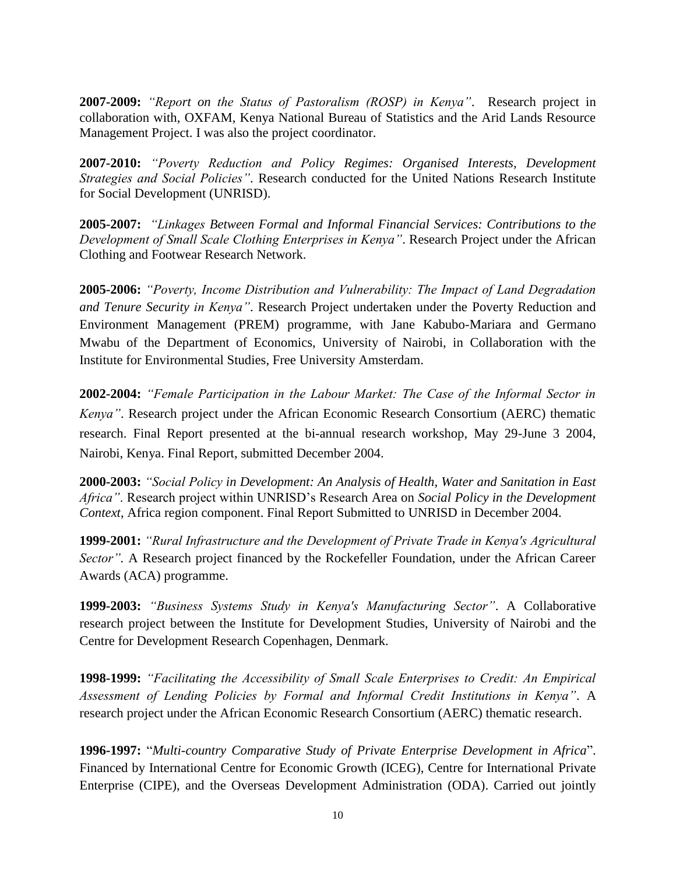**2007-2009:** *"Report on the Status of Pastoralism (ROSP) in Kenya"*. Research project in collaboration with, OXFAM, Kenya National Bureau of Statistics and the Arid Lands Resource Management Project. I was also the project coordinator.

**2007-2010:** *"Poverty Reduction and Policy Regimes: Organised Interests, Development Strategies and Social Policies"*. Research conducted for the United Nations Research Institute for Social Development (UNRISD).

**2005-2007:** *"Linkages Between Formal and Informal Financial Services: Contributions to the Development of Small Scale Clothing Enterprises in Kenya"*. Research Project under the African Clothing and Footwear Research Network.

**2005-2006:** *"Poverty, Income Distribution and Vulnerability: The Impact of Land Degradation and Tenure Security in Kenya"*. Research Project undertaken under the Poverty Reduction and Environment Management (PREM) programme, with Jane Kabubo-Mariara and Germano Mwabu of the Department of Economics, University of Nairobi, in Collaboration with the Institute for Environmental Studies, Free University Amsterdam.

**2002-2004:** *"Female Participation in the Labour Market: The Case of the Informal Sector in Kenya"*. Research project under the African Economic Research Consortium (AERC) thematic research. Final Report presented at the bi-annual research workshop, May 29-June 3 2004, Nairobi, Kenya. Final Report, submitted December 2004.

**2000-2003:** *"Social Policy in Development: An Analysis of Health, Water and Sanitation in East Africa"*. Research project within UNRISD's Research Area on *Social Policy in the Development Context*, Africa region component. Final Report Submitted to UNRISD in December 2004.

**1999-2001:** *"Rural Infrastructure and the Development of Private Trade in Kenya's Agricultural Sector".* A Research project financed by the Rockefeller Foundation, under the African Career Awards (ACA) programme.

**1999-2003:** *"Business Systems Study in Kenya's Manufacturing Sector"*. A Collaborative research project between the Institute for Development Studies, University of Nairobi and the Centre for Development Research Copenhagen, Denmark.

**1998-1999:** *"Facilitating the Accessibility of Small Scale Enterprises to Credit: An Empirical Assessment of Lending Policies by Formal and Informal Credit Institutions in Kenya"*. A research project under the African Economic Research Consortium (AERC) thematic research.

**1996-1997:** "*Multi-country Comparative Study of Private Enterprise Development in Africa*". Financed by International Centre for Economic Growth (ICEG), Centre for International Private Enterprise (CIPE), and the Overseas Development Administration (ODA). Carried out jointly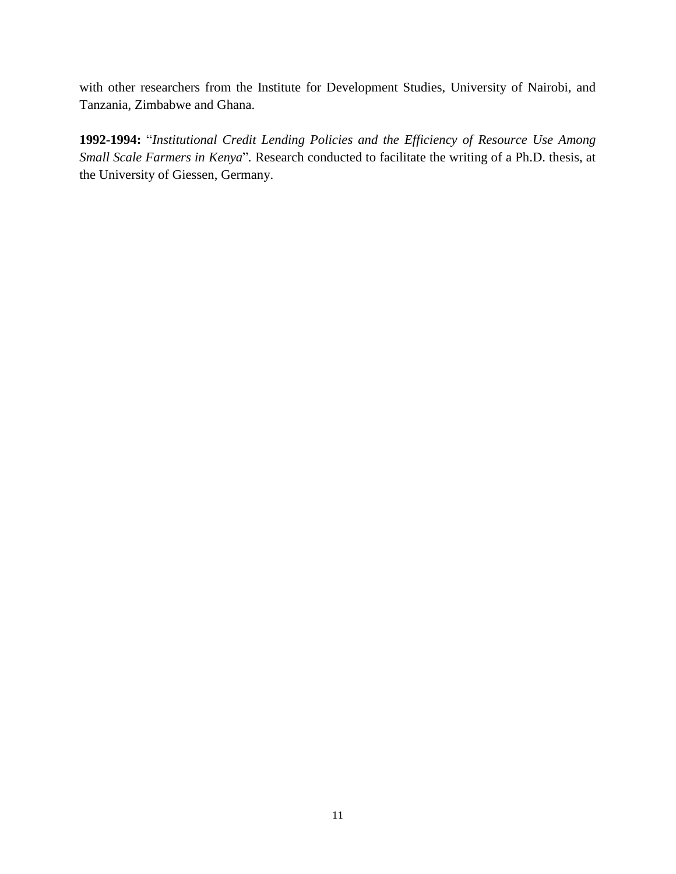with other researchers from the Institute for Development Studies, University of Nairobi, and Tanzania, Zimbabwe and Ghana.

**1992-1994:** "*Institutional Credit Lending Policies and the Efficiency of Resource Use Among Small Scale Farmers in Kenya*"*.* Research conducted to facilitate the writing of a Ph.D. thesis, at the University of Giessen, Germany.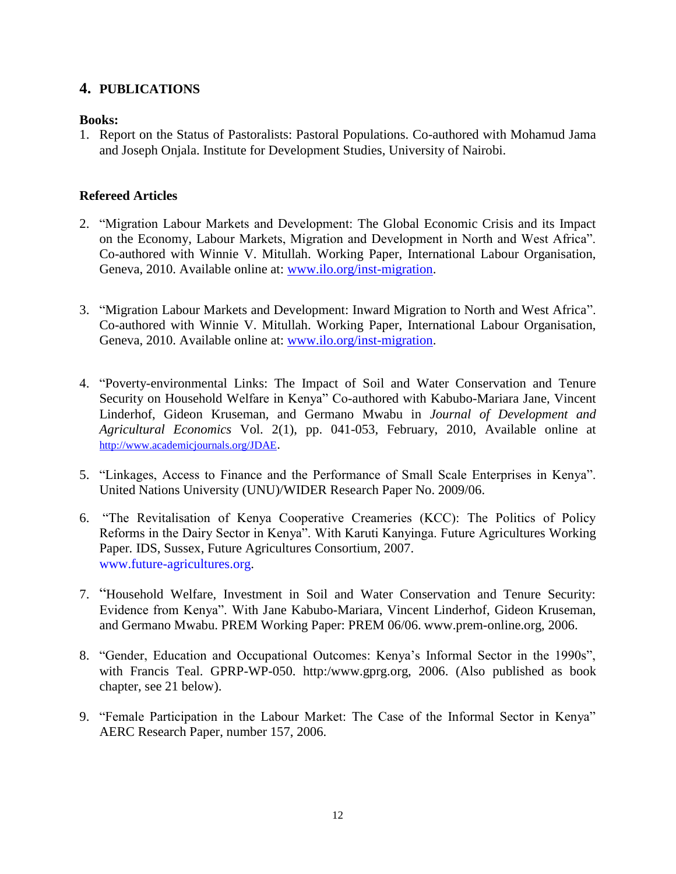## **4. PUBLICATIONS**

### **Books:**

1. Report on the Status of Pastoralists: Pastoral Populations. Co-authored with Mohamud Jama and Joseph Onjala. Institute for Development Studies, University of Nairobi.

### **Refereed Articles**

- 2. "Migration Labour Markets and Development: The Global Economic Crisis and its Impact on the Economy, Labour Markets, Migration and Development in North and West Africa". Co-authored with Winnie V. Mitullah. Working Paper, International Labour Organisation, Geneva, 2010. Available online at: [www.ilo.org/inst-migration.](http://www.ilo.org/inst-migration)
- 3. "Migration Labour Markets and Development: Inward Migration to North and West Africa". Co-authored with Winnie V. Mitullah. Working Paper, International Labour Organisation, Geneva, 2010. Available online at: [www.ilo.org/inst-migration.](http://www.ilo.org/migration)
- 4. "Poverty-environmental Links: The Impact of Soil and Water Conservation and Tenure Security on Household Welfare in Kenya" Co-authored with Kabubo-Mariara Jane, Vincent Linderhof, Gideon Kruseman, and Germano Mwabu in *Journal of Development and Agricultural Economics* Vol. 2(1), pp. 041-053, February, 2010, Available online at <http://www.academicjournals.org/JDAE>.
- 5. "Linkages, Access to Finance and the Performance of Small Scale Enterprises in Kenya". United Nations University (UNU)/WIDER Research Paper No. 2009/06.
- 6. "The Revitalisation of Kenya Cooperative Creameries (KCC): The Politics of Policy Reforms in the Dairy Sector in Kenya". With Karuti Kanyinga. Future Agricultures Working Paper*.* IDS, Sussex, Future Agricultures Consortium, 2007. www.future-agricultures.org.
- 7. "Household Welfare, Investment in Soil and Water Conservation and Tenure Security: Evidence from Kenya". With Jane Kabubo-Mariara, Vincent Linderhof, Gideon Kruseman, and Germano Mwabu. PREM Working Paper: PREM 06/06. www.prem-online.org, 2006.
- 8. "Gender, Education and Occupational Outcomes: Kenya's Informal Sector in the 1990s", with Francis Teal. GPRP-WP-050. http:/www.gprg.org, 2006. (Also published as book chapter, see 21 below).
- 9. "Female Participation in the Labour Market: The Case of the Informal Sector in Kenya" AERC Research Paper, number 157, 2006.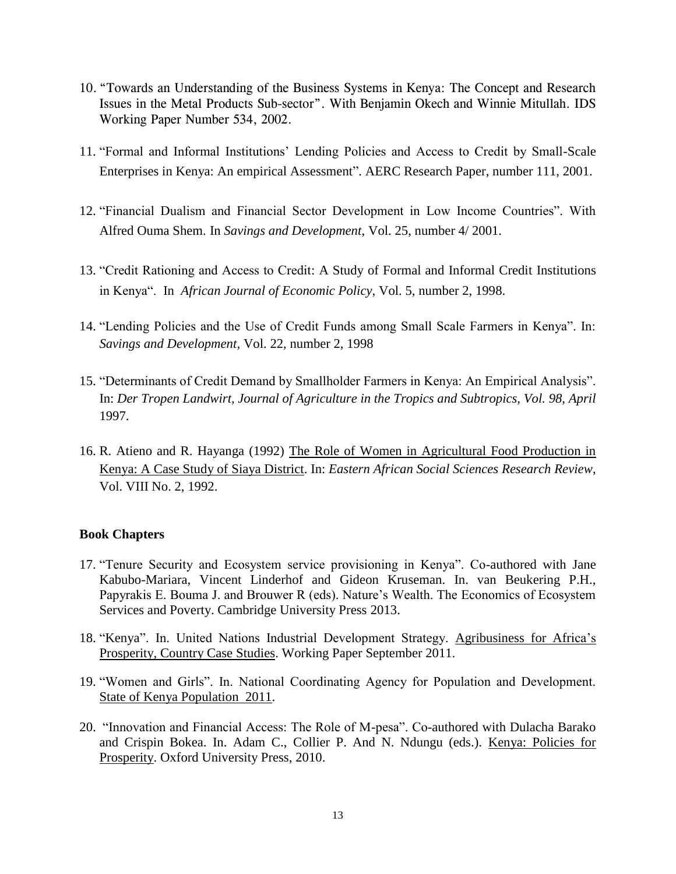- 10. "Towards an Understanding of the Business Systems in Kenya: The Concept and Research Issues in the Metal Products Sub-sector". With Benjamin Okech and Winnie Mitullah. IDS Working Paper Number 534, 2002.
- 11. "Formal and Informal Institutions' Lending Policies and Access to Credit by Small-Scale Enterprises in Kenya: An empirical Assessment". AERC Research Paper, number 111, 2001.
- 12. "Financial Dualism and Financial Sector Development in Low Income Countries". With Alfred Ouma Shem. In *Savings and Development*, Vol. 25, number 4/ 2001.
- 13. "Credit Rationing and Access to Credit: A Study of Formal and Informal Credit Institutions in Kenya". In *African Journal of Economic Policy*, Vol. 5, number 2, 1998.
- 14. "Lending Policies and the Use of Credit Funds among Small Scale Farmers in Kenya". In: *Savings and Development,* Vol. 22, number 2, 1998
- 15. "Determinants of Credit Demand by Smallholder Farmers in Kenya: An Empirical Analysis". In: *Der Tropen Landwirt, Journal of Agriculture in the Tropics and Subtropics, Vol. 98, April* 1997.
- 16. R. Atieno and R. Hayanga (1992) The Role of Women in Agricultural Food Production in Kenya: A Case Study of Siaya District. In: *Eastern African Social Sciences Research Review*, Vol. VIII No. 2, 1992.

#### **Book Chapters**

- 17. "Tenure Security and Ecosystem service provisioning in Kenya". Co-authored with Jane Kabubo-Mariara, Vincent Linderhof and Gideon Kruseman. In. van Beukering P.H., Papyrakis E. Bouma J. and Brouwer R (eds). Nature's Wealth. The Economics of Ecosystem Services and Poverty. Cambridge University Press 2013.
- 18. "Kenya". In. United Nations Industrial Development Strategy. Agribusiness for Africa's Prosperity, Country Case Studies. Working Paper September 2011.
- 19. "Women and Girls". In. National Coordinating Agency for Population and Development. State of Kenya Population 2011.
- 20. "Innovation and Financial Access: The Role of M-pesa". Co-authored with Dulacha Barako and Crispin Bokea. In. Adam C., Collier P. And N. Ndungu (eds.). Kenya: Policies for Prosperity. Oxford University Press, 2010.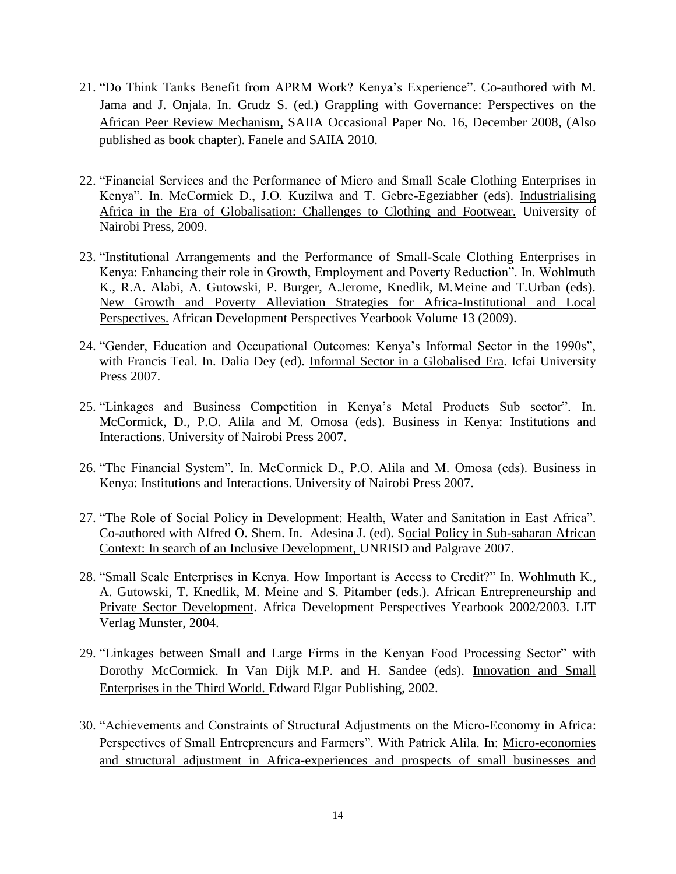- 21. "Do Think Tanks Benefit from APRM Work? Kenya's Experience". Co-authored with M. Jama and J. Onjala. In. Grudz S. (ed.) Grappling with Governance: Perspectives on the African Peer Review Mechanism, SAIIA Occasional Paper No. 16, December 2008, (Also published as book chapter). Fanele and SAIIA 2010.
- 22. "Financial Services and the Performance of Micro and Small Scale Clothing Enterprises in Kenya". In. McCormick D., J.O. Kuzilwa and T. Gebre-Egeziabher (eds). Industrialising Africa in the Era of Globalisation: Challenges to Clothing and Footwear. University of Nairobi Press, 2009.
- 23. "Institutional Arrangements and the Performance of Small-Scale Clothing Enterprises in Kenya: Enhancing their role in Growth, Employment and Poverty Reduction". In. Wohlmuth K., R.A. Alabi, A. Gutowski, P. Burger, A.Jerome, Knedlik, M.Meine and T.Urban (eds). New Growth and Poverty Alleviation Strategies for Africa-Institutional and Local Perspectives. African Development Perspectives Yearbook Volume 13 (2009).
- 24. "Gender, Education and Occupational Outcomes: Kenya's Informal Sector in the 1990s", with Francis Teal. In. Dalia Dey (ed). Informal Sector in a Globalised Era. Icfai University Press 2007.
- 25. "Linkages and Business Competition in Kenya's Metal Products Sub sector". In. McCormick, D., P.O. Alila and M. Omosa (eds). Business in Kenya: Institutions and Interactions. University of Nairobi Press 2007.
- 26. "The Financial System". In. McCormick D., P.O. Alila and M. Omosa (eds). Business in Kenya: Institutions and Interactions. University of Nairobi Press 2007.
- 27. "The Role of Social Policy in Development: Health, Water and Sanitation in East Africa". Co-authored with Alfred O. Shem. In. Adesina J. (ed). Social Policy in Sub-saharan African Context: In search of an Inclusive Development, UNRISD and Palgrave 2007.
- 28. "Small Scale Enterprises in Kenya. How Important is Access to Credit?" In. Wohlmuth K., A. Gutowski, T. Knedlik, M. Meine and S. Pitamber (eds.). African Entrepreneurship and Private Sector Development. Africa Development Perspectives Yearbook 2002/2003. LIT Verlag Munster, 2004.
- 29. "Linkages between Small and Large Firms in the Kenyan Food Processing Sector" with Dorothy McCormick. In Van Dijk M.P. and H. Sandee (eds). Innovation and Small Enterprises in the Third World. Edward Elgar Publishing, 2002.
- 30. "Achievements and Constraints of Structural Adjustments on the Micro-Economy in Africa: Perspectives of Small Entrepreneurs and Farmers". With Patrick Alila. In: Micro-economies and structural adjustment in Africa-experiences and prospects of small businesses and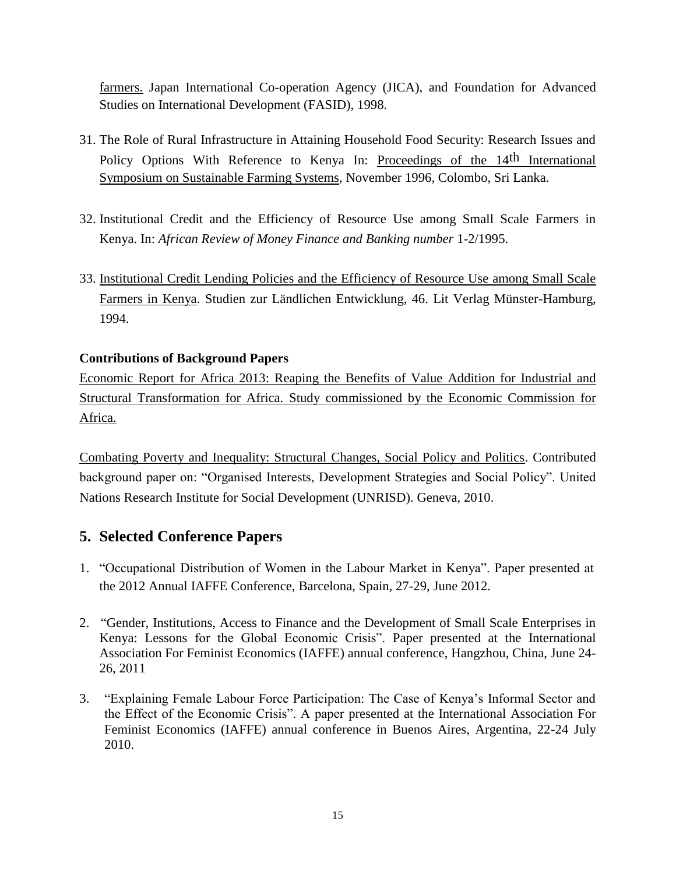farmers. Japan International Co-operation Agency (JICA), and Foundation for Advanced Studies on International Development (FASID), 1998.

- 31. The Role of Rural Infrastructure in Attaining Household Food Security: Research Issues and Policy Options With Reference to Kenya In: Proceedings of the 14<sup>th</sup> International Symposium on Sustainable Farming Systems, November 1996, Colombo, Sri Lanka.
- 32. Institutional Credit and the Efficiency of Resource Use among Small Scale Farmers in Kenya. In: *African Review of Money Finance and Banking number* 1-2/1995.
- 33. Institutional Credit Lending Policies and the Efficiency of Resource Use among Small Scale Farmers in Kenya. Studien zur Ländlichen Entwicklung, 46. Lit Verlag Münster-Hamburg, 1994.

## **Contributions of Background Papers**

Economic Report for Africa 2013: Reaping the Benefits of Value Addition for Industrial and Structural Transformation for Africa. Study commissioned by the Economic Commission for Africa.

Combating Poverty and Inequality: Structural Changes, Social Policy and Politics. Contributed background paper on: "Organised Interests, Development Strategies and Social Policy". United Nations Research Institute for Social Development (UNRISD). Geneva, 2010.

## **5. Selected Conference Papers**

- 1. "Occupational Distribution of Women in the Labour Market in Kenya". Paper presented at the 2012 Annual IAFFE Conference, Barcelona, Spain, 27-29, June 2012.
- 2. "Gender, Institutions, Access to Finance and the Development of Small Scale Enterprises in Kenya: Lessons for the Global Economic Crisis". Paper presented at the International Association For Feminist Economics (IAFFE) annual conference, Hangzhou, China, June 24- 26, 2011
- 3. "Explaining Female Labour Force Participation: The Case of Kenya's Informal Sector and the Effect of the Economic Crisis". A paper presented at the International Association For Feminist Economics (IAFFE) annual conference in Buenos Aires, Argentina, 22-24 July 2010.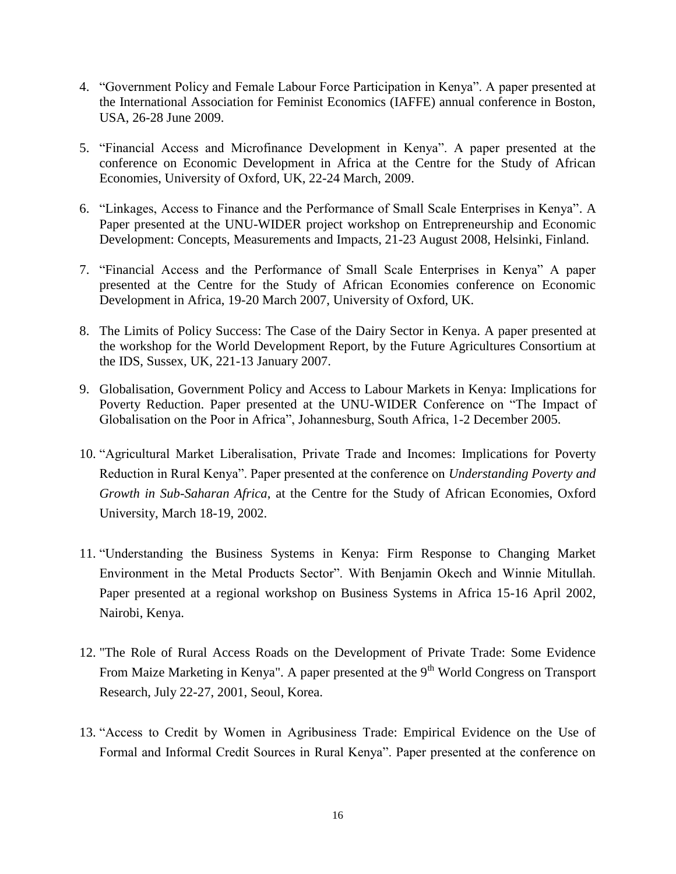- 4. "Government Policy and Female Labour Force Participation in Kenya". A paper presented at the International Association for Feminist Economics (IAFFE) annual conference in Boston, USA, 26-28 June 2009.
- 5. "Financial Access and Microfinance Development in Kenya". A paper presented at the conference on Economic Development in Africa at the Centre for the Study of African Economies, University of Oxford, UK, 22-24 March, 2009.
- 6. "Linkages, Access to Finance and the Performance of Small Scale Enterprises in Kenya". A Paper presented at the UNU-WIDER project workshop on Entrepreneurship and Economic Development: Concepts, Measurements and Impacts, 21-23 August 2008, Helsinki, Finland.
- 7. "Financial Access and the Performance of Small Scale Enterprises in Kenya" A paper presented at the Centre for the Study of African Economies conference on Economic Development in Africa, 19-20 March 2007, University of Oxford, UK.
- 8. The Limits of Policy Success: The Case of the Dairy Sector in Kenya. A paper presented at the workshop for the World Development Report, by the Future Agricultures Consortium at the IDS, Sussex, UK, 221-13 January 2007.
- 9. Globalisation, Government Policy and Access to Labour Markets in Kenya: Implications for Poverty Reduction. Paper presented at the UNU-WIDER Conference on "The Impact of Globalisation on the Poor in Africa", Johannesburg, South Africa, 1-2 December 2005.
- 10. "Agricultural Market Liberalisation, Private Trade and Incomes: Implications for Poverty Reduction in Rural Kenya". Paper presented at the conference on *Understanding Poverty and Growth in Sub-Saharan Africa*, at the Centre for the Study of African Economies, Oxford University, March 18-19, 2002.
- 11. "Understanding the Business Systems in Kenya: Firm Response to Changing Market Environment in the Metal Products Sector". With Benjamin Okech and Winnie Mitullah. Paper presented at a regional workshop on Business Systems in Africa 15-16 April 2002, Nairobi, Kenya.
- 12. "The Role of Rural Access Roads on the Development of Private Trade: Some Evidence From Maize Marketing in Kenya". A paper presented at the  $9<sup>th</sup>$  World Congress on Transport Research, July 22-27, 2001, Seoul, Korea.
- 13. "Access to Credit by Women in Agribusiness Trade: Empirical Evidence on the Use of Formal and Informal Credit Sources in Rural Kenya". Paper presented at the conference on